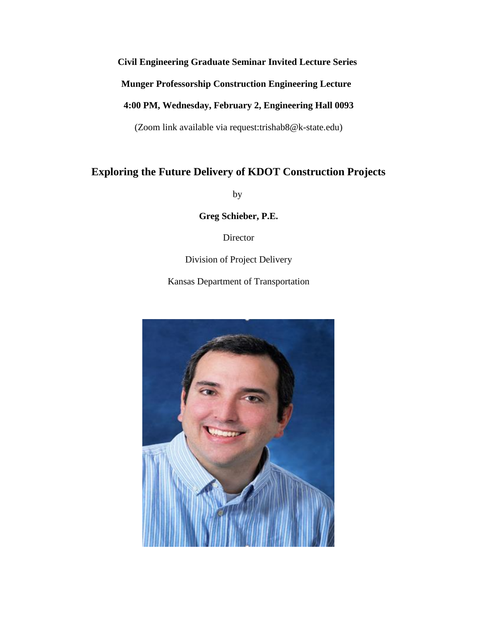# **Civil Engineering Graduate Seminar Invited Lecture Series**

**Munger Professorship Construction Engineering Lecture** 

# **4:00 PM, Wednesday, February 2, Engineering Hall 0093**

(Zoom link available via request:trishab8@k-state.edu)

# **Exploring the Future Delivery of KDOT Construction Projects**

by

**Greg Schieber, P.E.**

Director

Division of Project Delivery

Kansas Department of Transportation